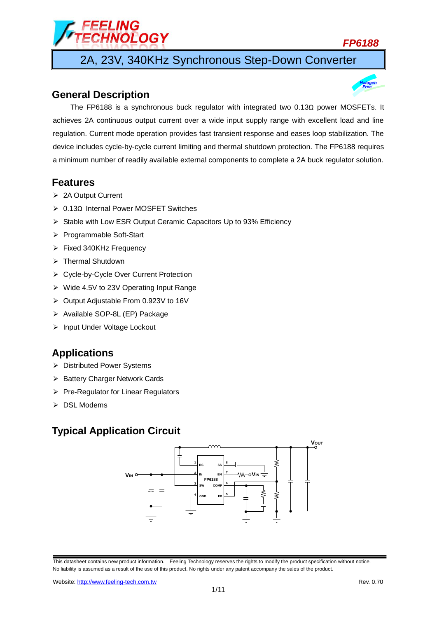# *LING<br>INOLOGY*

*FP6188*

2A, 23V, 340KHz Synchronous Step-Down Converter

## **General Description**



## **Features**

- > 2A Output Current
- 0.13Ω Internal Power MOSFET Switches
- $\triangleright$  Stable with Low ESR Output Ceramic Capacitors Up to 93% Efficiency
- ▶ Programmable Soft-Start
- $\triangleright$  Fixed 340KHz Frequency
- $\triangleright$  Thermal Shutdown
- Cycle-by-Cycle Over Current Protection
- Wide 4.5V to 23V Operating Input Range
- Output Adjustable From 0.923V to 16V
- > Available SOP-8L (EP) Package
- > Input Under Voltage Lockout

## **Applications**

- Distributed Power Systems
- ▶ Battery Charger Network Cards
- $\triangleright$  Pre-Regulator for Linear Regulators
- $\triangleright$  DSL Modems

# **Typical Application Circuit**

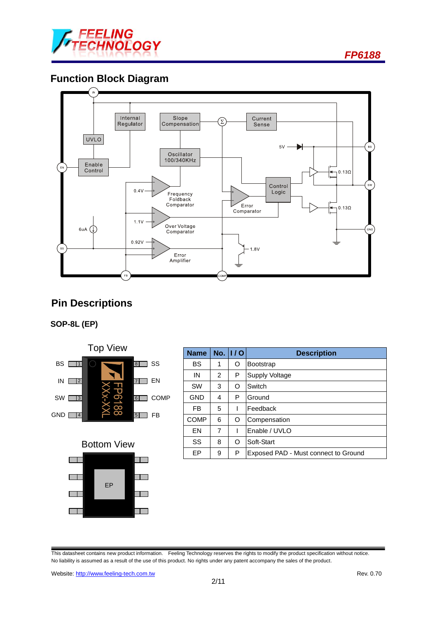

*FP6188*

# **Function Block Diagram**



# **Pin Descriptions**

## **SOP-8L (EP)**





| <b>Name</b> |   | No. 1/0 | <b>Description</b>                   |
|-------------|---|---------|--------------------------------------|
| <b>BS</b>   | 1 | O       | <b>Bootstrap</b>                     |
| IN          | 2 | P       | <b>Supply Voltage</b>                |
| <b>SW</b>   | 3 | O       | Switch                               |
| <b>GND</b>  | 4 | P       | Ground                               |
| <b>FB</b>   | 5 |         | Feedback                             |
| <b>COMP</b> | 6 | O       | Compensation                         |
| EN          | 7 |         | Enable / UVLO                        |
| SS          | 8 | O       | Soft-Start                           |
| EP          | 9 | P       | Exposed PAD - Must connect to Ground |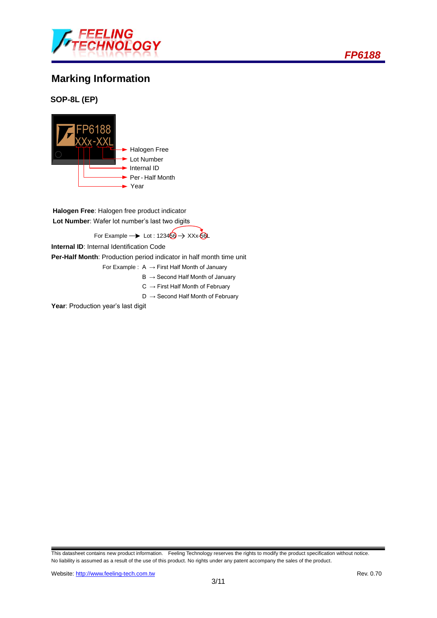

# **Marking Information**

**SOP-8L (EP)**



**Halogen Free**: Halogen free product indicator **Lot Number**: Wafer lot number's last two digits

For Example  $\rightarrow$  Lot : 123456  $\rightarrow$  XXx-56L

**Internal ID**: Internal Identification Code

**Per-Half Month**: Production period indicator in half month time unit

- For Example :  $A \rightarrow$  First Half Month of January
	- $B \rightarrow$  Second Half Month of January
	- $C \rightarrow$  First Half Month of February
	- $D \rightarrow$  Second Half Month of February

Year: Production year's last digit

This datasheet contains new product information. Feeling Technology reserves the rights to modify the product specification without notice. No liability is assumed as a result of the use of this product. No rights under any patent accompany the sales of the product.

*FP6188*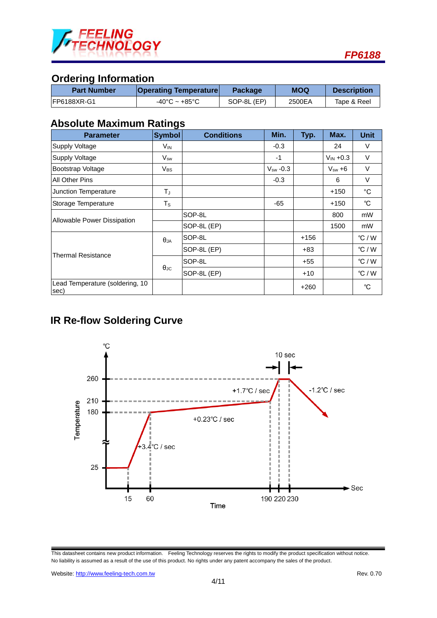

# **Ordering Information**

| <b>Part Number</b> | <b>Operating Temperature</b>      | <b>Package</b> | <b>MOQ</b> | <b>Description</b> |
|--------------------|-----------------------------------|----------------|------------|--------------------|
| IFP6188XR-G1       | $-40^{\circ}$ C ~ $+85^{\circ}$ C | SOP-8L (EP)    | 2500EA     | Tape & Reel        |

## **Absolute Maximum Ratings**

| <b>Parameter</b>                        | <b>Symbol</b>           | <b>Conditions</b> | Min.          | Typ.   | Max.          | <b>Unit</b>     |
|-----------------------------------------|-------------------------|-------------------|---------------|--------|---------------|-----------------|
| Supply Voltage                          | $V_{IN}$                |                   | $-0.3$        |        | 24            | V               |
| <b>Supply Voltage</b>                   | $V_{sw}$                |                   | $-1$          |        | $V_{IN} +0.3$ | V               |
| Bootstrap Voltage                       | $V_{BS}$                |                   | $V_{sw}$ -0.3 |        | $V_{sw} + 6$  | V               |
| All Other Pins                          |                         |                   | $-0.3$        |        | 6             | V               |
| Junction Temperature                    | TJ                      |                   |               |        | $+150$        | $^{\circ}$ C    |
| Storage Temperature                     | $\mathsf T_{\mathsf S}$ |                   | $-65$         |        | $+150$        | °C              |
|                                         |                         | SOP-8L            |               |        | 800           | mW              |
| Allowable Power Dissipation             |                         | SOP-8L (EP)       |               |        | 1500          | mW              |
|                                         | $\theta_{JA}$           | SOP-8L            |               | $+156$ |               | $\degree$ C / W |
| Thermal Resistance                      |                         | SOP-8L (EP)       |               | $+83$  |               | $\degree$ C / W |
|                                         |                         | SOP-8L            |               | $+55$  |               | $\degree$ C / W |
|                                         | $\theta_{\text{JC}}$    | SOP-8L (EP)       |               | $+10$  |               | $\degree$ C / W |
| Lead Temperature (soldering, 10<br>sec) |                         |                   |               | $+260$ |               | °C              |

# **IR Re-flow Soldering Curve**



This datasheet contains new product information. Feeling Technology reserves the rights to modify the product specification without notice. No liability is assumed as a result of the use of this product. No rights under any patent accompany the sales of the product.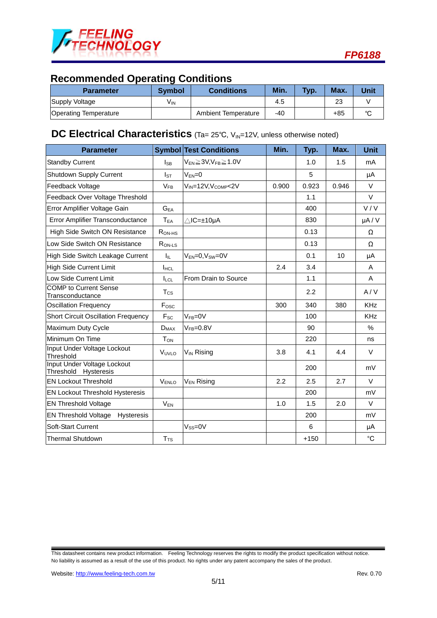

# **Recommended Operating Conditions**

| <b>Parameter</b>             | Symbol | <b>Conditions</b>   | Min.  | Typ. | Max.  | <b>Unit</b> |
|------------------------------|--------|---------------------|-------|------|-------|-------------|
| Supply Voltage               | Vın    |                     | 4.5   |      | 23    |             |
| <b>Operating Temperature</b> |        | Ambient Temperature | $-40$ |      | $+85$ | $\sim$      |

## **DC Electrical Characteristics** (Ta= 25°C, V<sub>IN</sub>=12V, unless otherwise noted)

| <b>Parameter</b>                                    |                       | <b>Symbol Test Conditions</b>               | Min.  | Typ.   | Max.  | <b>Unit</b> |
|-----------------------------------------------------|-----------------------|---------------------------------------------|-------|--------|-------|-------------|
| <b>Standby Current</b>                              | <b>S</b> R            | $V_{EN} \geq 3V$ , $V_{FB} \geq 1.0V$       |       | 1.0    | 1.5   | mA          |
| Shutdown Supply Current                             | $I_{ST}$              | $V_{EN}=0$                                  |       | 5      |       | μA          |
| Feedback Voltage                                    | <b>V<sub>FR</sub></b> | V <sub>IN</sub> =12V, V <sub>COMP</sub> <2V | 0.900 | 0.923  | 0.946 | $\vee$      |
| Feedback Over Voltage Threshold                     |                       |                                             |       | 1.1    |       | V           |
| Error Amplifier Voltage Gain                        | $G_{EA}$              |                                             |       | 400    |       | V/V         |
| Error Amplifier Transconductance                    | $T_{EA}$              | $\triangle$ IC=±10µA                        |       | 830    |       | $\mu A / V$ |
| High Side Switch ON Resistance                      | $R_{ON-HS}$           |                                             |       | 0.13   |       | Ω           |
| Low Side Switch ON Resistance                       | $Row-Ls$              |                                             |       | 0.13   |       | Ω           |
| High Side Switch Leakage Current                    | Iц.                   | $V_{EN} = 0$ , $V_{SW} = 0V$                |       | 0.1    | 10    | μA          |
| <b>High Side Current Limit</b>                      | <b>I</b> HCL          |                                             | 2.4   | 3.4    |       | A           |
| Low Side Current Limit                              | <b>ILCL</b>           | From Drain to Source                        |       | 1.1    |       | A           |
| <b>COMP</b> to Current Sense<br>Transconductance    | $T_{\rm CS}$          |                                             |       | 2.2    |       | A/V         |
| <b>Oscillation Frequency</b>                        | Fosc                  |                                             | 300   | 340    | 380   | <b>KHz</b>  |
| <b>Short Circuit Oscillation Frequency</b>          | $F_{SC}$              | $VFB=0V$                                    |       | 100    |       | <b>KHz</b>  |
| Maximum Duty Cycle                                  | $D_{MAX}$             | $V_{FB} = 0.8V$                             |       | 90     |       | $\%$        |
| Minimum On Time                                     | $T_{\mathsf{ON}}$     |                                             |       | 220    |       | ns          |
| Input Under Voltage Lockout<br>Threshold            | VUVLO                 | V <sub>IN</sub> Rising                      | 3.8   | 4.1    | 4.4   | $\vee$      |
| Input Under Voltage Lockout<br>Threshold Hysteresis |                       |                                             |       | 200    |       | mV          |
| <b>EN Lockout Threshold</b>                         | V <sub>ENLO</sub>     | V <sub>EN</sub> Rising                      | 2.2   | 2.5    | 2.7   | $\vee$      |
| EN Lockout Threshold Hysteresis                     |                       |                                             |       | 200    |       | mV          |
| <b>EN Threshold Voltage</b>                         | $V_{EN}$              |                                             | 1.0   | 1.5    | 2.0   | $\vee$      |
| <b>EN Threshold Voltage</b><br><b>Hysteresis</b>    |                       |                                             |       | 200    |       | mV          |
| Soft-Start Current                                  |                       | $V_{SS} = 0V$                               |       | 6      |       | μA          |
| Thermal Shutdown                                    | T <sub>TS</sub>       |                                             |       | $+150$ |       | $^{\circ}C$ |

This datasheet contains new product information. Feeling Technology reserves the rights to modify the product specification without notice. No liability is assumed as a result of the use of this product. No rights under any patent accompany the sales of the product.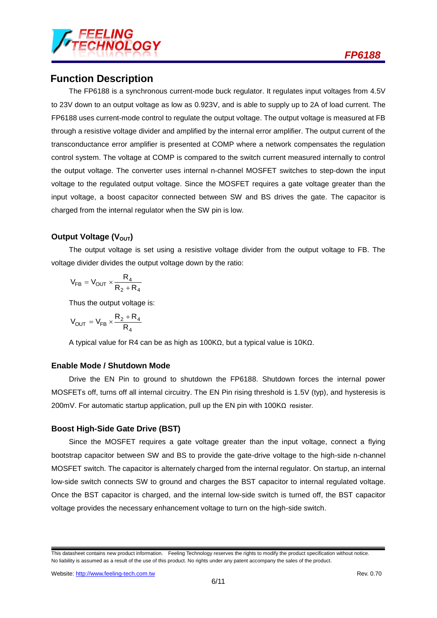

## **Function Description**

The FP6188 is a synchronous current-mode buck regulator. It regulates input voltages from 4.5V to 23V down to an output voltage as low as 0.923V, and is able to supply up to 2A of load current. The FP6188 uses current-mode control to regulate the output voltage. The output voltage is measured at FB through a resistive voltage divider and amplified by the internal error amplifier. The output current of the transconductance error amplifier is presented at COMP where a network compensates the regulation control system. The voltage at COMP is compared to the switch current measured internally to control the output voltage. The converter uses internal n-channel MOSFET switches to step-down the input voltage to the regulated output voltage. Since the MOSFET requires a gate voltage greater than the input voltage, a boost capacitor connected between SW and BS drives the gate. The capacitor is charged from the internal regulator when the SW pin is low.

## **Output Voltage (V<sub>OUT</sub>)**

The output voltage is set using a resistive voltage divider from the output voltage to FB. The voltage divider divides the output voltage down by the ratio:

$$
V_{FB}=V_{OUT}\times\frac{R_4}{R_2+R_4}
$$

Thus the output voltage is:

$$
V_{OUT} = V_{FB} \times \frac{R_2 + R_4}{R_4}
$$

A typical value for R4 can be as high as 100KΩ, but a typical value is 10KΩ.

#### **Enable Mode / Shutdown Mode**

Drive the EN Pin to ground to shutdown the FP6188. Shutdown forces the internal power MOSFETs off, turns off all internal circuitry. The EN Pin rising threshold is 1.5V (typ), and hysteresis is 200mV. For automatic startup application, pull up the EN pin with 100KΩ resister.

## **Boost High-Side Gate Drive (BST)**

Since the MOSFET requires a gate voltage greater than the input voltage, connect a flying bootstrap capacitor between SW and BS to provide the gate-drive voltage to the high-side n-channel MOSFET switch. The capacitor is alternately charged from the internal regulator. On startup, an internal low-side switch connects SW to ground and charges the BST capacitor to internal regulated voltage. Once the BST capacitor is charged, and the internal low-side switch is turned off, the BST capacitor voltage provides the necessary enhancement voltage to turn on the high-side switch.

This datasheet contains new product information. Feeling Technology reserves the rights to modify the product specification without notice. No liability is assumed as a result of the use of this product. No rights under any patent accompany the sales of the product.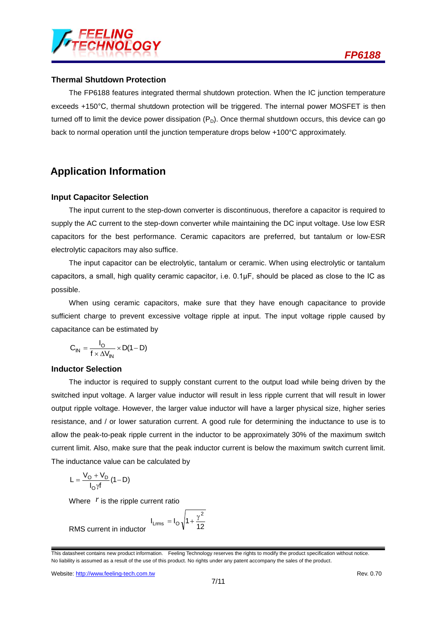

#### **Thermal Shutdown Protection**

The FP6188 features integrated thermal shutdown protection. When the IC junction temperature exceeds +150°C, thermal shutdown protection will be triggered. The internal power MOSFET is then turned off to limit the device power dissipation  $(P_D)$ . Once thermal shutdown occurs, this device can go back to normal operation until the junction temperature drops below +100°C approximately.

## **Application Information**

#### **Input Capacitor Selection**

The input current to the step-down converter is discontinuous, therefore a capacitor is required to supply the AC current to the step-down converter while maintaining the DC input voltage. Use low ESR capacitors for the best performance. Ceramic capacitors are preferred, but tantalum or low-ESR electrolytic capacitors may also suffice.

The input capacitor can be electrolytic, tantalum or ceramic. When using electrolytic or tantalum capacitors, a small, high quality ceramic capacitor, i.e. 0.1μF, should be placed as close to the IC as possible.

When using ceramic capacitors, make sure that they have enough capacitance to provide sufficient charge to prevent excessive voltage ripple at input. The input voltage ripple caused by capacitance can be estimated by

$$
C_{IN} = \frac{I_O}{f \times \Delta V_{IN}} \times D(1 - D)
$$

#### **Inductor Selection**

The inductor is required to supply constant current to the output load while being driven by the switched input voltage. A larger value inductor will result in less ripple current that will result in lower output ripple voltage. However, the larger value inductor will have a larger physical size, higher series resistance, and / or lower saturation current. A good rule for determining the inductance to use is to allow the peak-to-peak ripple current in the inductor to be approximately 30% of the maximum switch current limit. Also, make sure that the peak inductor current is below the maximum switch current limit. The inductance value can be calculated by

$$
L = \frac{V_O + V_D}{I_O \gamma f} (1 - D)
$$

Where  $r$  is the ripple current ratio

$$
I_{Lrms} = I_O \sqrt{1 + \frac{\gamma^2}{12}}
$$

RMS current in inductor

This datasheet contains new product information. Feeling Technology reserves the rights to modify the product specification without notice. No liability is assumed as a result of the use of this product. No rights under any patent accompany the sales of the product.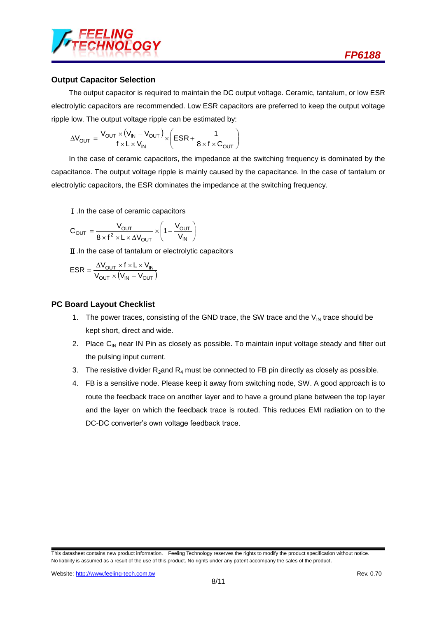

## **Output Capacitor Selection**

The output capacitor is required to maintain the DC output voltage. Ceramic, tantalum, or low ESR electrolytic capacitors are recommended. Low ESR capacitors are preferred to keep the output voltage ripple low. The output voltage ripple can be estimated by:

$$
\Delta V_{OUT} = \frac{V_{OUT} \times (V_{IN} - V_{OUT})}{f \times L \times V_{IN}} \times \left(ESR + \frac{1}{8 \times f \times C_{OUT}}\right)
$$

In the case of ceramic capacitors, the impedance at the switching frequency is dominated by the capacitance. The output voltage ripple is mainly caused by the capacitance. In the case of tantalum or electrolytic capacitors, the ESR dominates the impedance at the switching frequency.

Ⅰ.In the case of ceramic capacitors

$$
C_{OUT} = \frac{V_{OUT}}{8 \times f^2 \times L \times \Delta V_{OUT}} \times \left(1 - \frac{V_{OUT}}{V_{IN}}\right)
$$

Ⅱ.In the case of tantalum or electrolytic capacitors

$$
ESR = \frac{\Delta V_{OUT} \times f \times L \times V_{IN}}{V_{OUT} \times (V_{IN} - V_{OUT})}
$$

## **PC Board Layout Checklist**

- 1. The power traces, consisting of the GND trace, the SW trace and the  $V_{IN}$  trace should be kept short, direct and wide.
- 2. Place  $C_{IN}$  near IN Pin as closely as possible. To maintain input voltage steady and filter out the pulsing input current.
- 3. The resistive divider  $R_2$  and  $R_4$  must be connected to FB pin directly as closely as possible.
- 4. FB is a sensitive node. Please keep it away from switching node, SW. A good approach is to route the feedback trace on another layer and to have a ground plane between the top layer and the layer on which the feedback trace is routed. This reduces EMI radiation on to the DC-DC converter's own voltage feedback trace.

This datasheet contains new product information. Feeling Technology reserves the rights to modify the product specification without notice. No liability is assumed as a result of the use of this product. No rights under any patent accompany the sales of the product.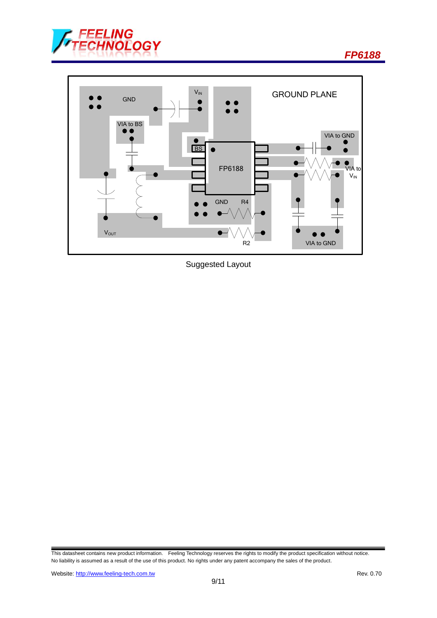

*FP6188*



Suggested Layout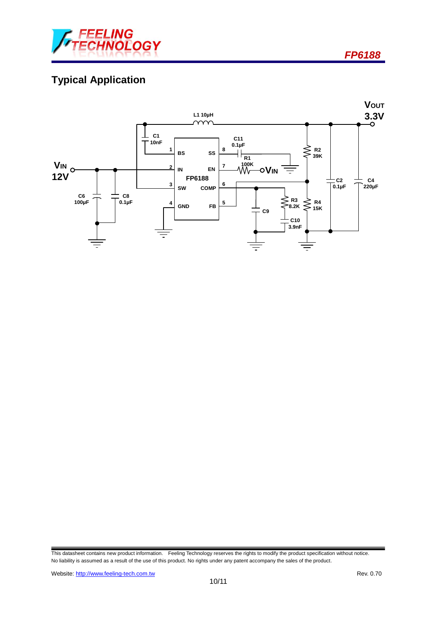

*FP6188*

# **Typical Application**